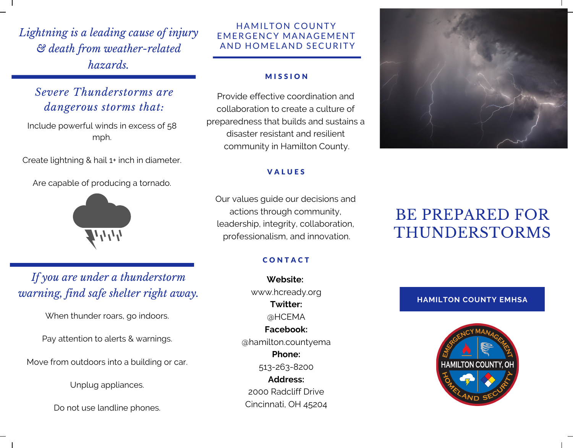*Lightning is a leading cause of injury & death from weather-related hazards.*

### *Severe Thunderstorms are dangerous storms that:*

Include powerful winds in excess of 58 mph.

Create lightning & hail 1+ inch in diameter.

Are capable of producing a tornado.



## *If you are under a thunderstorm warning, find safe shelter right away.*

When thunder roars, go indoors.

Pay attention to alerts & warnings.

Move from outdoors into a building or car.

Unplug appliances.

Do not use landline phones.

### HAMILTON COUNTY EMERGENCY MANAGEMENT AND HOMELAND SECURITY

#### **MISSION**

Provide effective coordination and collaboration to create a culture of preparedness that builds and sustains a disaster resistant and resilient community in Hamilton County.

#### **VALUES**

Our values guide our decisions and actions through community, leadership, integrity, collaboration, professionalism, and innovation.

### **CONTACT**

**Website:** www.hcready.org **Twitter:** @HCEMA **Facebook:** @hamilton.countyema **Phone:** 513-263-8200 **Address:** 2000 Radcliff Drive Cincinnati, OH 45204



# BE PREPARED FOR THUNDERSTORMS

**HAMILTON COUNTY EMHSA**